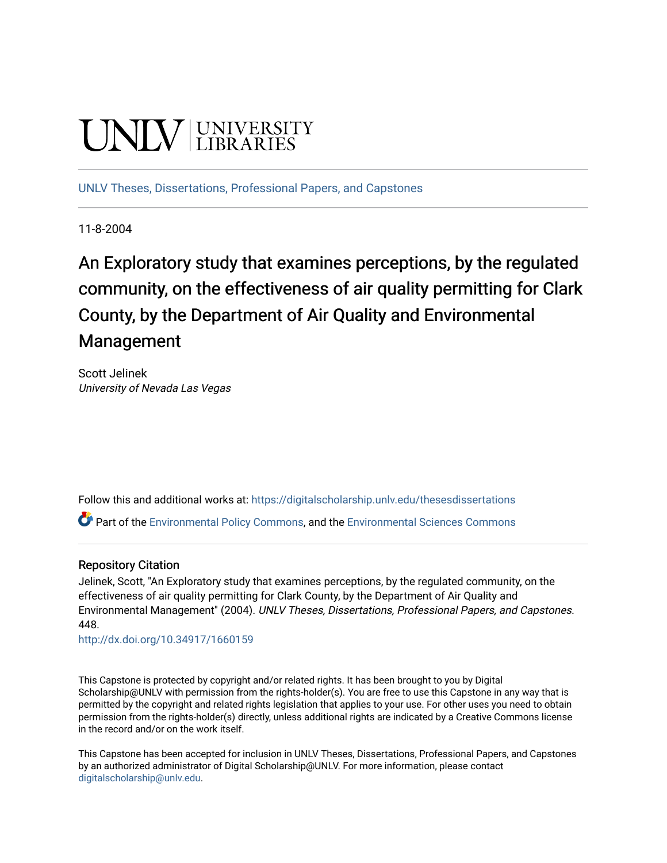# UNIV UNIVERSITY

[UNLV Theses, Dissertations, Professional Papers, and Capstones](https://digitalscholarship.unlv.edu/thesesdissertations)

11-8-2004

An Exploratory study that examines perceptions, by the regulated community, on the effectiveness of air quality permitting for Clark County, by the Department of Air Quality and Environmental Management

Scott Jelinek University of Nevada Las Vegas

Follow this and additional works at: [https://digitalscholarship.unlv.edu/thesesdissertations](https://digitalscholarship.unlv.edu/thesesdissertations?utm_source=digitalscholarship.unlv.edu%2Fthesesdissertations%2F448&utm_medium=PDF&utm_campaign=PDFCoverPages)

## Part of the [Environmental Policy Commons,](http://network.bepress.com/hgg/discipline/1027?utm_source=digitalscholarship.unlv.edu%2Fthesesdissertations%2F448&utm_medium=PDF&utm_campaign=PDFCoverPages) and the [Environmental Sciences Commons](http://network.bepress.com/hgg/discipline/167?utm_source=digitalscholarship.unlv.edu%2Fthesesdissertations%2F448&utm_medium=PDF&utm_campaign=PDFCoverPages)

#### Repository Citation

Jelinek, Scott, "An Exploratory study that examines perceptions, by the regulated community, on the effectiveness of air quality permitting for Clark County, by the Department of Air Quality and Environmental Management" (2004). UNLV Theses, Dissertations, Professional Papers, and Capstones. 448.

<http://dx.doi.org/10.34917/1660159>

This Capstone is protected by copyright and/or related rights. It has been brought to you by Digital Scholarship@UNLV with permission from the rights-holder(s). You are free to use this Capstone in any way that is permitted by the copyright and related rights legislation that applies to your use. For other uses you need to obtain permission from the rights-holder(s) directly, unless additional rights are indicated by a Creative Commons license in the record and/or on the work itself.

This Capstone has been accepted for inclusion in UNLV Theses, Dissertations, Professional Papers, and Capstones by an authorized administrator of Digital Scholarship@UNLV. For more information, please contact [digitalscholarship@unlv.edu](mailto:digitalscholarship@unlv.edu).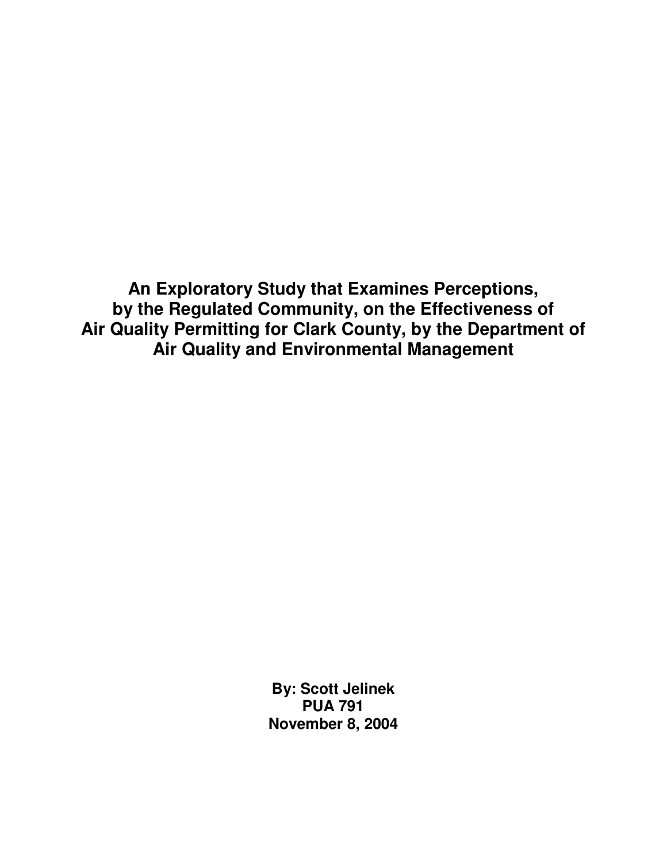**An Exploratory Study that Examines Perceptions, by the Regulated Community, on the Effectiveness of Air Quality Permitting for Clark County, by the Department of Air Quality and Environmental Management** 

> **By: Scott Jelinek PUA 791 November 8, 2004**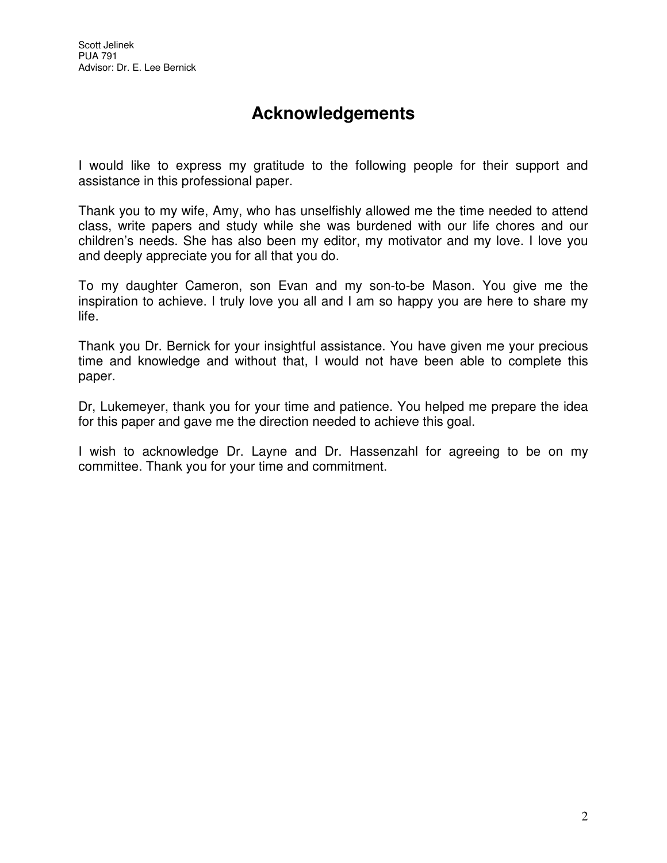# **Acknowledgements**

I would like to express my gratitude to the following people for their support and assistance in this professional paper.

Thank you to my wife, Amy, who has unselfishly allowed me the time needed to attend class, write papers and study while she was burdened with our life chores and our children's needs. She has also been my editor, my motivator and my love. I love you and deeply appreciate you for all that you do.

To my daughter Cameron, son Evan and my son-to-be Mason. You give me the inspiration to achieve. I truly love you all and I am so happy you are here to share my life.

Thank you Dr. Bernick for your insightful assistance. You have given me your precious time and knowledge and without that, I would not have been able to complete this paper.

Dr, Lukemeyer, thank you for your time and patience. You helped me prepare the idea for this paper and gave me the direction needed to achieve this goal.

I wish to acknowledge Dr. Layne and Dr. Hassenzahl for agreeing to be on my committee. Thank you for your time and commitment.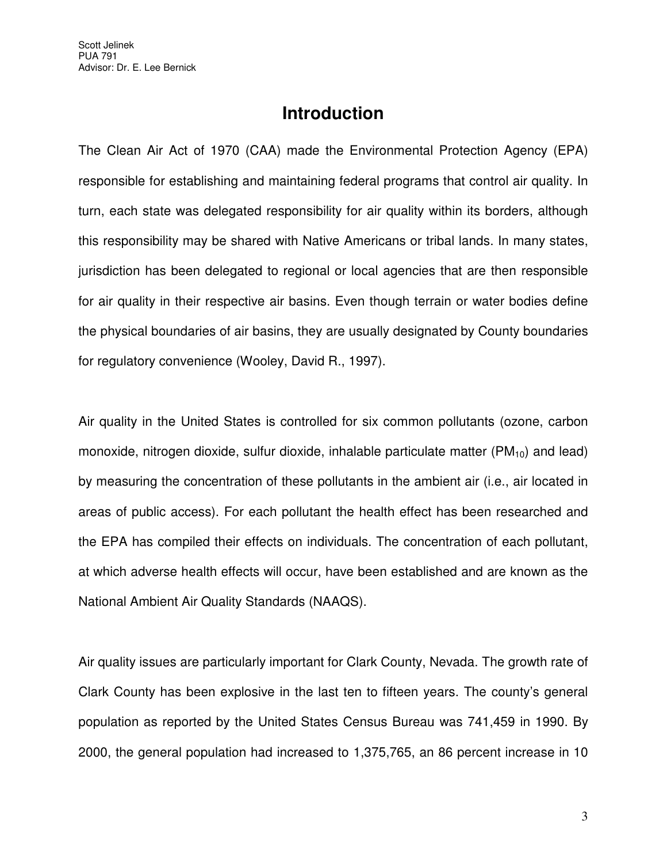## **Introduction**

The Clean Air Act of 1970 (CAA) made the Environmental Protection Agency (EPA) responsible for establishing and maintaining federal programs that control air quality. In turn, each state was delegated responsibility for air quality within its borders, although this responsibility may be shared with Native Americans or tribal lands. In many states, jurisdiction has been delegated to regional or local agencies that are then responsible for air quality in their respective air basins. Even though terrain or water bodies define the physical boundaries of air basins, they are usually designated by County boundaries for regulatory convenience (Wooley, David R., 1997).

Air quality in the United States is controlled for six common pollutants (ozone, carbon monoxide, nitrogen dioxide, sulfur dioxide, inhalable particulate matter ( $PM_{10}$ ) and lead) by measuring the concentration of these pollutants in the ambient air (i.e., air located in areas of public access). For each pollutant the health effect has been researched and the EPA has compiled their effects on individuals. The concentration of each pollutant, at which adverse health effects will occur, have been established and are known as the National Ambient Air Quality Standards (NAAQS).

Air quality issues are particularly important for Clark County, Nevada. The growth rate of Clark County has been explosive in the last ten to fifteen years. The county's general population as reported by the United States Census Bureau was 741,459 in 1990. By 2000, the general population had increased to 1,375,765, an 86 percent increase in 10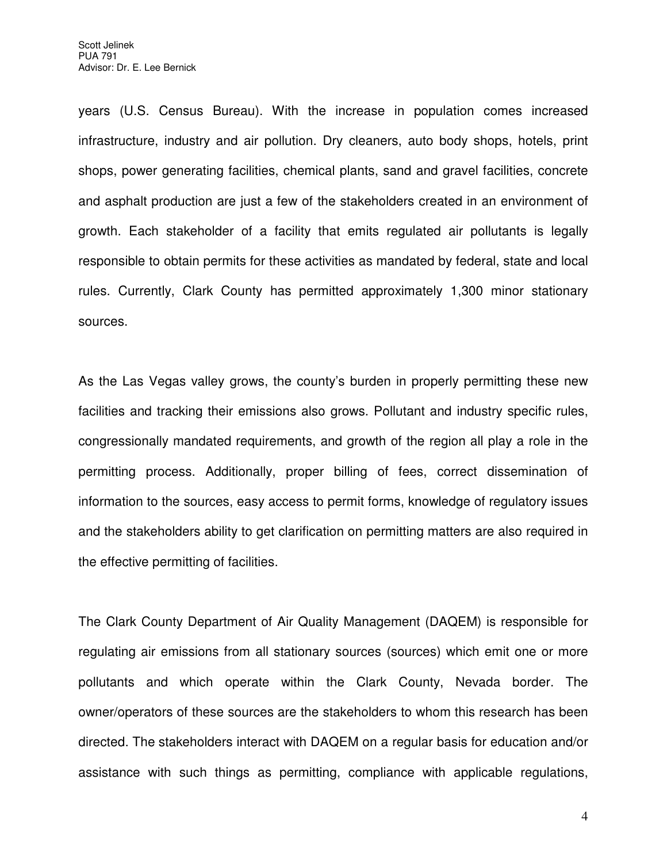years (U.S. Census Bureau). With the increase in population comes increased infrastructure, industry and air pollution. Dry cleaners, auto body shops, hotels, print shops, power generating facilities, chemical plants, sand and gravel facilities, concrete and asphalt production are just a few of the stakeholders created in an environment of growth. Each stakeholder of a facility that emits regulated air pollutants is legally responsible to obtain permits for these activities as mandated by federal, state and local rules. Currently, Clark County has permitted approximately 1,300 minor stationary sources.

As the Las Vegas valley grows, the county's burden in properly permitting these new facilities and tracking their emissions also grows. Pollutant and industry specific rules, congressionally mandated requirements, and growth of the region all play a role in the permitting process. Additionally, proper billing of fees, correct dissemination of information to the sources, easy access to permit forms, knowledge of regulatory issues and the stakeholders ability to get clarification on permitting matters are also required in the effective permitting of facilities.

The Clark County Department of Air Quality Management (DAQEM) is responsible for regulating air emissions from all stationary sources (sources) which emit one or more pollutants and which operate within the Clark County, Nevada border. The owner/operators of these sources are the stakeholders to whom this research has been directed. The stakeholders interact with DAQEM on a regular basis for education and/or assistance with such things as permitting, compliance with applicable regulations,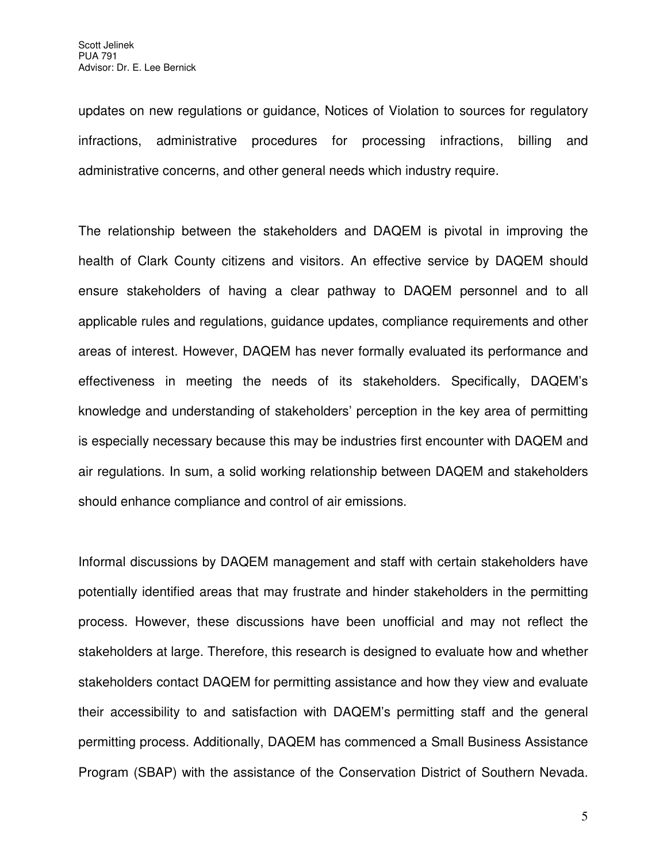updates on new regulations or guidance, Notices of Violation to sources for regulatory infractions, administrative procedures for processing infractions, billing and administrative concerns, and other general needs which industry require.

The relationship between the stakeholders and DAQEM is pivotal in improving the health of Clark County citizens and visitors. An effective service by DAQEM should ensure stakeholders of having a clear pathway to DAQEM personnel and to all applicable rules and regulations, guidance updates, compliance requirements and other areas of interest. However, DAQEM has never formally evaluated its performance and effectiveness in meeting the needs of its stakeholders. Specifically, DAQEM's knowledge and understanding of stakeholders' perception in the key area of permitting is especially necessary because this may be industries first encounter with DAQEM and air regulations. In sum, a solid working relationship between DAQEM and stakeholders should enhance compliance and control of air emissions.

Informal discussions by DAQEM management and staff with certain stakeholders have potentially identified areas that may frustrate and hinder stakeholders in the permitting process. However, these discussions have been unofficial and may not reflect the stakeholders at large. Therefore, this research is designed to evaluate how and whether stakeholders contact DAQEM for permitting assistance and how they view and evaluate their accessibility to and satisfaction with DAQEM's permitting staff and the general permitting process. Additionally, DAQEM has commenced a Small Business Assistance Program (SBAP) with the assistance of the Conservation District of Southern Nevada.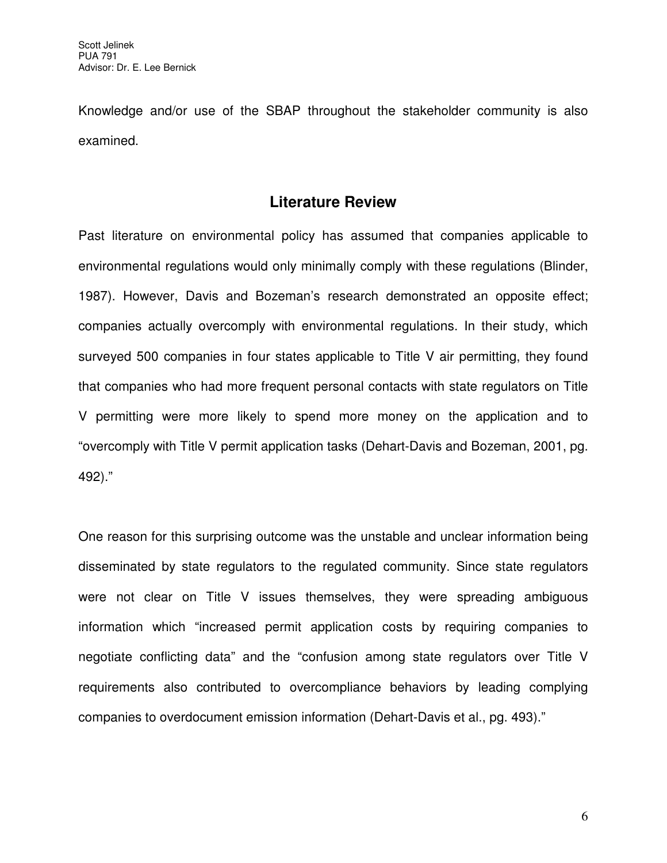Knowledge and/or use of the SBAP throughout the stakeholder community is also examined.

#### **Literature Review**

Past literature on environmental policy has assumed that companies applicable to environmental regulations would only minimally comply with these regulations (Blinder, 1987). However, Davis and Bozeman's research demonstrated an opposite effect; companies actually overcomply with environmental regulations. In their study, which surveyed 500 companies in four states applicable to Title V air permitting, they found that companies who had more frequent personal contacts with state regulators on Title V permitting were more likely to spend more money on the application and to "overcomply with Title V permit application tasks (Dehart-Davis and Bozeman, 2001, pg. 492)."

One reason for this surprising outcome was the unstable and unclear information being disseminated by state regulators to the regulated community. Since state regulators were not clear on Title V issues themselves, they were spreading ambiguous information which "increased permit application costs by requiring companies to negotiate conflicting data" and the "confusion among state regulators over Title V requirements also contributed to overcompliance behaviors by leading complying companies to overdocument emission information (Dehart-Davis et al., pg. 493)."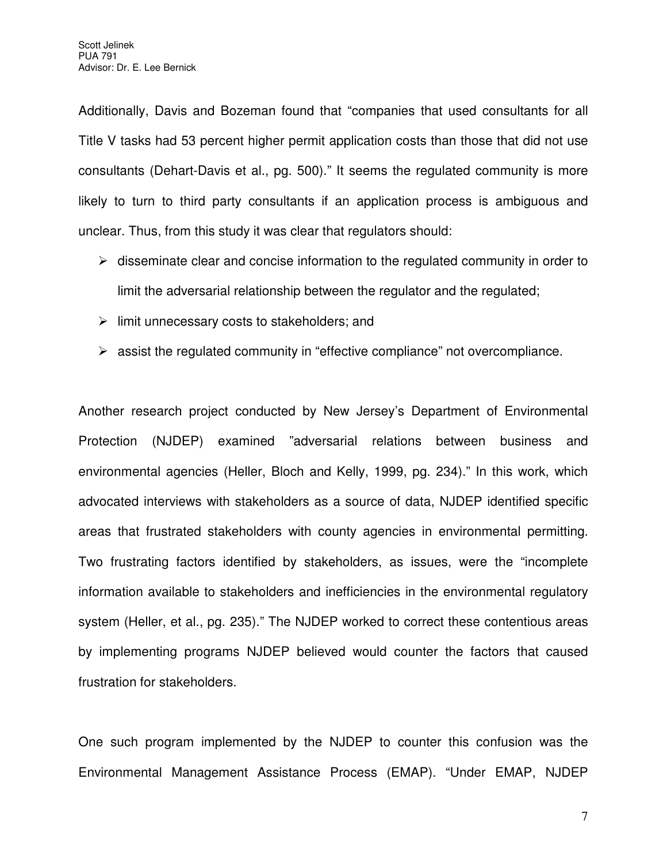Additionally, Davis and Bozeman found that "companies that used consultants for all Title V tasks had 53 percent higher permit application costs than those that did not use consultants (Dehart-Davis et al., pg. 500)." It seems the regulated community is more likely to turn to third party consultants if an application process is ambiguous and unclear. Thus, from this study it was clear that regulators should:

- $\triangleright$  disseminate clear and concise information to the regulated community in order to limit the adversarial relationship between the regulator and the regulated;
- $\triangleright$  limit unnecessary costs to stakeholders; and
- $\triangleright$  assist the regulated community in "effective compliance" not overcompliance.

Another research project conducted by New Jersey's Department of Environmental Protection (NJDEP) examined "adversarial relations between business and environmental agencies (Heller, Bloch and Kelly, 1999, pg. 234)." In this work, which advocated interviews with stakeholders as a source of data, NJDEP identified specific areas that frustrated stakeholders with county agencies in environmental permitting. Two frustrating factors identified by stakeholders, as issues, were the "incomplete information available to stakeholders and inefficiencies in the environmental regulatory system (Heller, et al., pg. 235)." The NJDEP worked to correct these contentious areas by implementing programs NJDEP believed would counter the factors that caused frustration for stakeholders.

One such program implemented by the NJDEP to counter this confusion was the Environmental Management Assistance Process (EMAP). "Under EMAP, NJDEP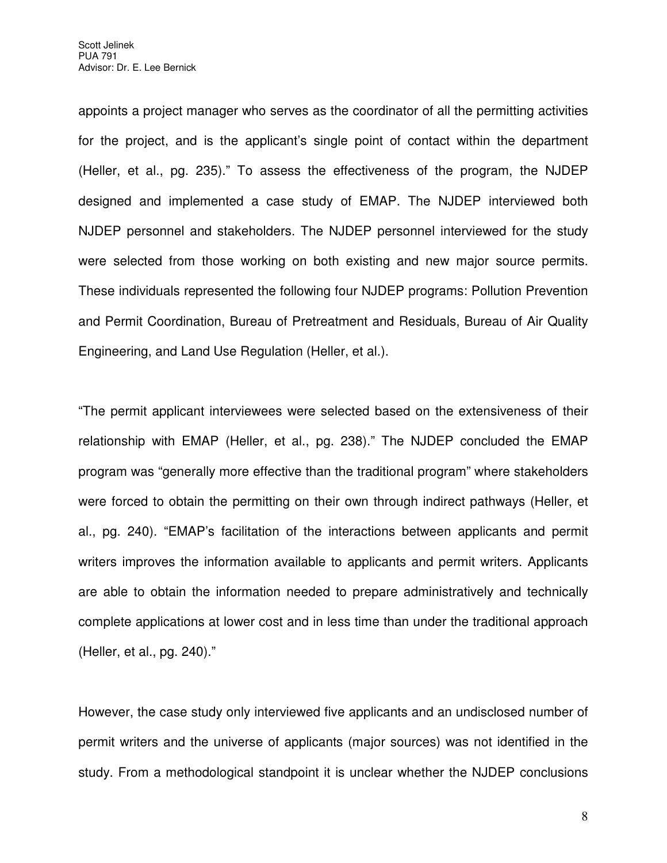appoints a project manager who serves as the coordinator of all the permitting activities for the project, and is the applicant's single point of contact within the department (Heller, et al., pg. 235)." To assess the effectiveness of the program, the NJDEP designed and implemented a case study of EMAP. The NJDEP interviewed both NJDEP personnel and stakeholders. The NJDEP personnel interviewed for the study were selected from those working on both existing and new major source permits. These individuals represented the following four NJDEP programs: Pollution Prevention and Permit Coordination, Bureau of Pretreatment and Residuals, Bureau of Air Quality Engineering, and Land Use Regulation (Heller, et al.).

"The permit applicant interviewees were selected based on the extensiveness of their relationship with EMAP (Heller, et al., pg. 238)." The NJDEP concluded the EMAP program was "generally more effective than the traditional program" where stakeholders were forced to obtain the permitting on their own through indirect pathways (Heller, et al., pg. 240). "EMAP's facilitation of the interactions between applicants and permit writers improves the information available to applicants and permit writers. Applicants are able to obtain the information needed to prepare administratively and technically complete applications at lower cost and in less time than under the traditional approach (Heller, et al., pg. 240)."

However, the case study only interviewed five applicants and an undisclosed number of permit writers and the universe of applicants (major sources) was not identified in the study. From a methodological standpoint it is unclear whether the NJDEP conclusions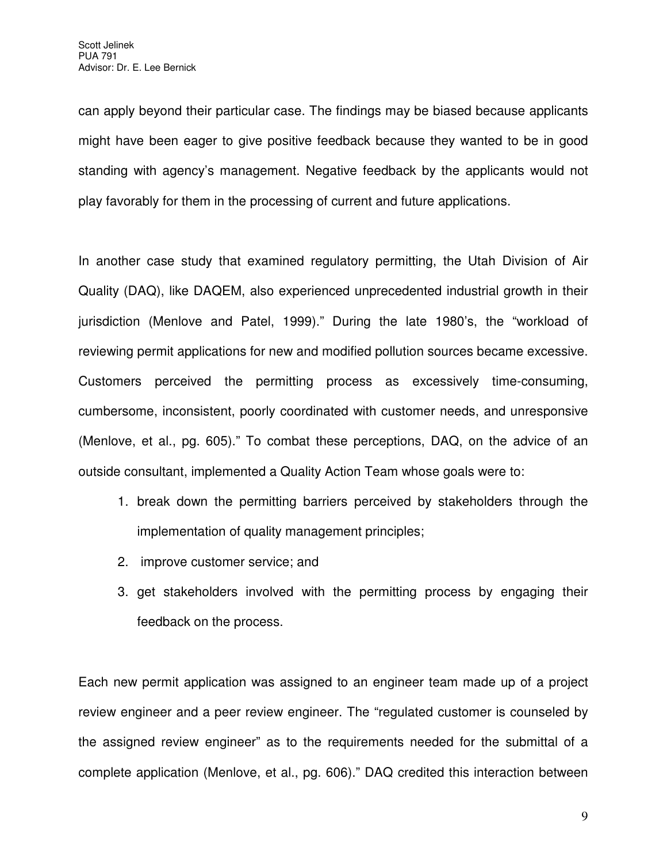can apply beyond their particular case. The findings may be biased because applicants might have been eager to give positive feedback because they wanted to be in good standing with agency's management. Negative feedback by the applicants would not play favorably for them in the processing of current and future applications.

In another case study that examined regulatory permitting, the Utah Division of Air Quality (DAQ), like DAQEM, also experienced unprecedented industrial growth in their jurisdiction (Menlove and Patel, 1999)." During the late 1980's, the "workload of reviewing permit applications for new and modified pollution sources became excessive. Customers perceived the permitting process as excessively time-consuming, cumbersome, inconsistent, poorly coordinated with customer needs, and unresponsive (Menlove, et al., pg. 605)." To combat these perceptions, DAQ, on the advice of an outside consultant, implemented a Quality Action Team whose goals were to:

- 1. break down the permitting barriers perceived by stakeholders through the implementation of quality management principles;
- 2. improve customer service; and
- 3. get stakeholders involved with the permitting process by engaging their feedback on the process.

Each new permit application was assigned to an engineer team made up of a project review engineer and a peer review engineer. The "regulated customer is counseled by the assigned review engineer" as to the requirements needed for the submittal of a complete application (Menlove, et al., pg. 606)." DAQ credited this interaction between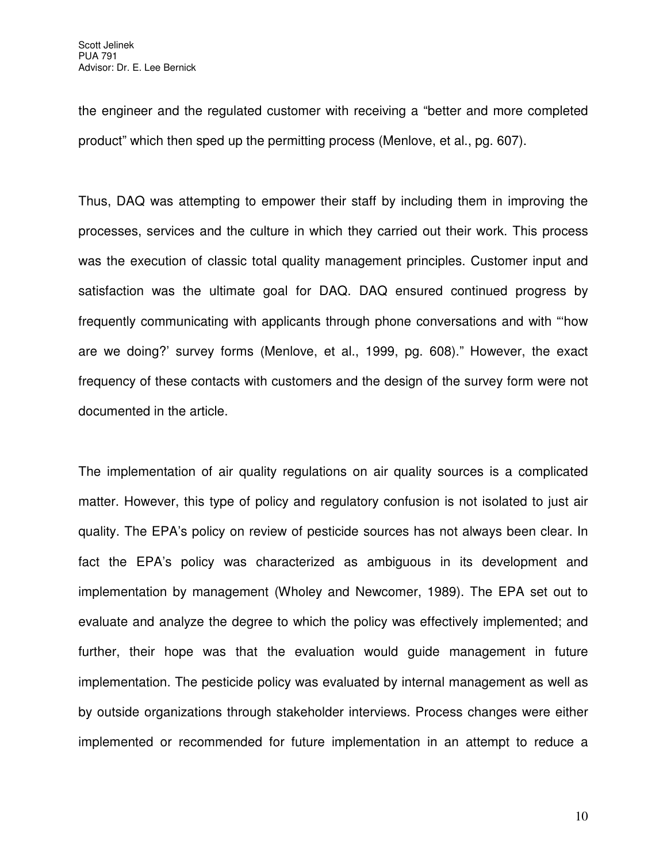the engineer and the regulated customer with receiving a "better and more completed product" which then sped up the permitting process (Menlove, et al., pg. 607).

Thus, DAQ was attempting to empower their staff by including them in improving the processes, services and the culture in which they carried out their work. This process was the execution of classic total quality management principles. Customer input and satisfaction was the ultimate goal for DAQ. DAQ ensured continued progress by frequently communicating with applicants through phone conversations and with "'how are we doing?' survey forms (Menlove, et al., 1999, pg. 608)." However, the exact frequency of these contacts with customers and the design of the survey form were not documented in the article.

The implementation of air quality regulations on air quality sources is a complicated matter. However, this type of policy and regulatory confusion is not isolated to just air quality. The EPA's policy on review of pesticide sources has not always been clear. In fact the EPA's policy was characterized as ambiguous in its development and implementation by management (Wholey and Newcomer, 1989). The EPA set out to evaluate and analyze the degree to which the policy was effectively implemented; and further, their hope was that the evaluation would guide management in future implementation. The pesticide policy was evaluated by internal management as well as by outside organizations through stakeholder interviews. Process changes were either implemented or recommended for future implementation in an attempt to reduce a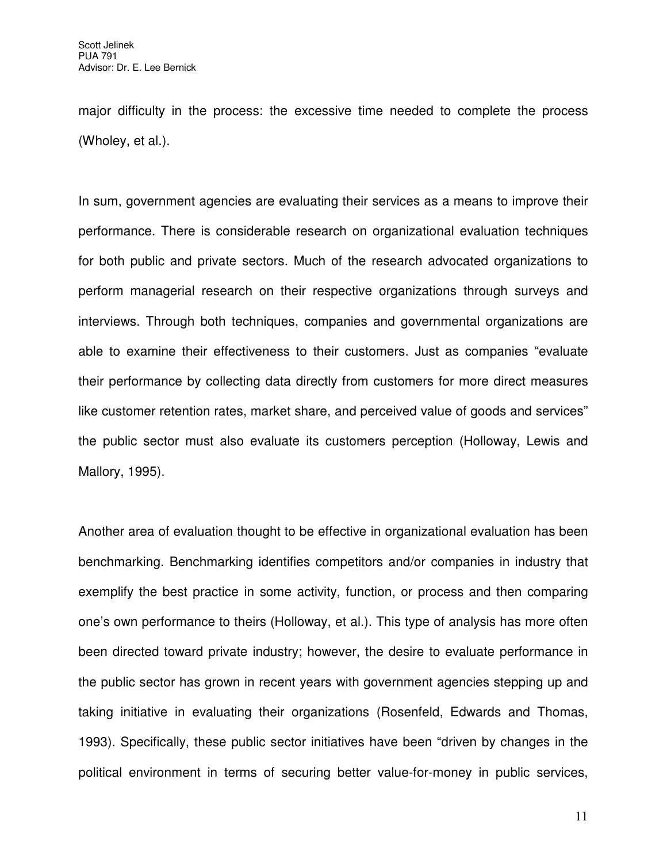major difficulty in the process: the excessive time needed to complete the process (Wholey, et al.).

In sum, government agencies are evaluating their services as a means to improve their performance. There is considerable research on organizational evaluation techniques for both public and private sectors. Much of the research advocated organizations to perform managerial research on their respective organizations through surveys and interviews. Through both techniques, companies and governmental organizations are able to examine their effectiveness to their customers. Just as companies "evaluate their performance by collecting data directly from customers for more direct measures like customer retention rates, market share, and perceived value of goods and services" the public sector must also evaluate its customers perception (Holloway, Lewis and Mallory, 1995).

Another area of evaluation thought to be effective in organizational evaluation has been benchmarking. Benchmarking identifies competitors and/or companies in industry that exemplify the best practice in some activity, function, or process and then comparing one's own performance to theirs (Holloway, et al.). This type of analysis has more often been directed toward private industry; however, the desire to evaluate performance in the public sector has grown in recent years with government agencies stepping up and taking initiative in evaluating their organizations (Rosenfeld, Edwards and Thomas, 1993). Specifically, these public sector initiatives have been "driven by changes in the political environment in terms of securing better value-for-money in public services,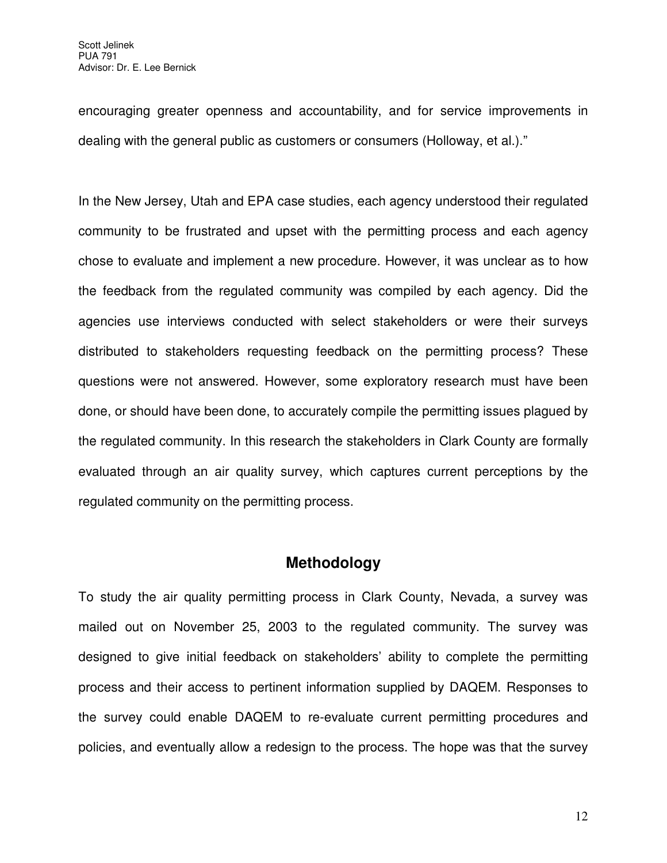encouraging greater openness and accountability, and for service improvements in dealing with the general public as customers or consumers (Holloway, et al.)."

In the New Jersey, Utah and EPA case studies, each agency understood their regulated community to be frustrated and upset with the permitting process and each agency chose to evaluate and implement a new procedure. However, it was unclear as to how the feedback from the regulated community was compiled by each agency. Did the agencies use interviews conducted with select stakeholders or were their surveys distributed to stakeholders requesting feedback on the permitting process? These questions were not answered. However, some exploratory research must have been done, or should have been done, to accurately compile the permitting issues plagued by the regulated community. In this research the stakeholders in Clark County are formally evaluated through an air quality survey, which captures current perceptions by the regulated community on the permitting process.

#### **Methodology**

To study the air quality permitting process in Clark County, Nevada, a survey was mailed out on November 25, 2003 to the regulated community. The survey was designed to give initial feedback on stakeholders' ability to complete the permitting process and their access to pertinent information supplied by DAQEM. Responses to the survey could enable DAQEM to re-evaluate current permitting procedures and policies, and eventually allow a redesign to the process. The hope was that the survey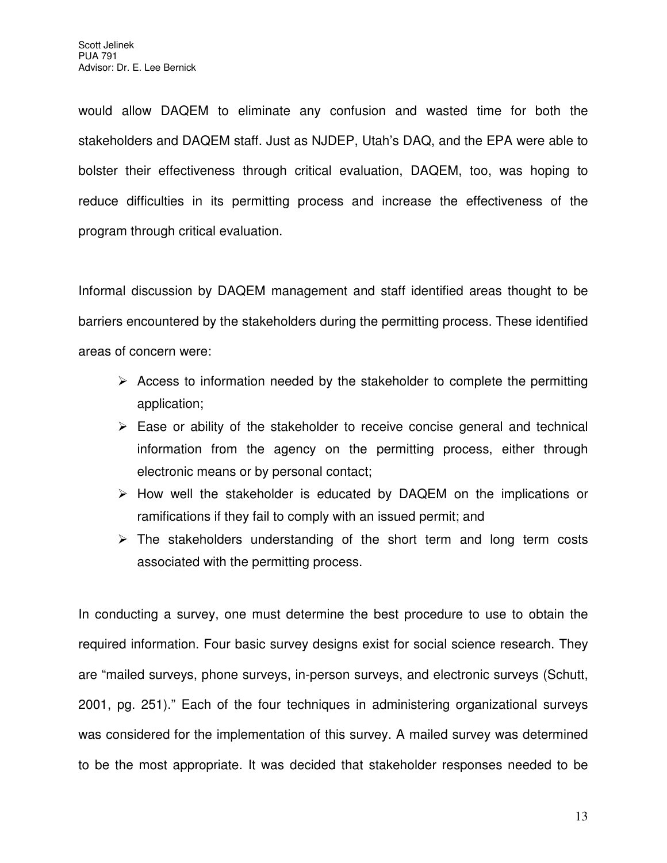would allow DAQEM to eliminate any confusion and wasted time for both the stakeholders and DAQEM staff. Just as NJDEP, Utah's DAQ, and the EPA were able to bolster their effectiveness through critical evaluation, DAQEM, too, was hoping to reduce difficulties in its permitting process and increase the effectiveness of the program through critical evaluation.

Informal discussion by DAQEM management and staff identified areas thought to be barriers encountered by the stakeholders during the permitting process. These identified areas of concern were:

- $\triangleright$  Access to information needed by the stakeholder to complete the permitting application;
- $\triangleright$  Ease or ability of the stakeholder to receive concise general and technical information from the agency on the permitting process, either through electronic means or by personal contact;
- $\triangleright$  How well the stakeholder is educated by DAQEM on the implications or ramifications if they fail to comply with an issued permit; and
- $\triangleright$  The stakeholders understanding of the short term and long term costs associated with the permitting process.

In conducting a survey, one must determine the best procedure to use to obtain the required information. Four basic survey designs exist for social science research. They are "mailed surveys, phone surveys, in-person surveys, and electronic surveys (Schutt, 2001, pg. 251)." Each of the four techniques in administering organizational surveys was considered for the implementation of this survey. A mailed survey was determined to be the most appropriate. It was decided that stakeholder responses needed to be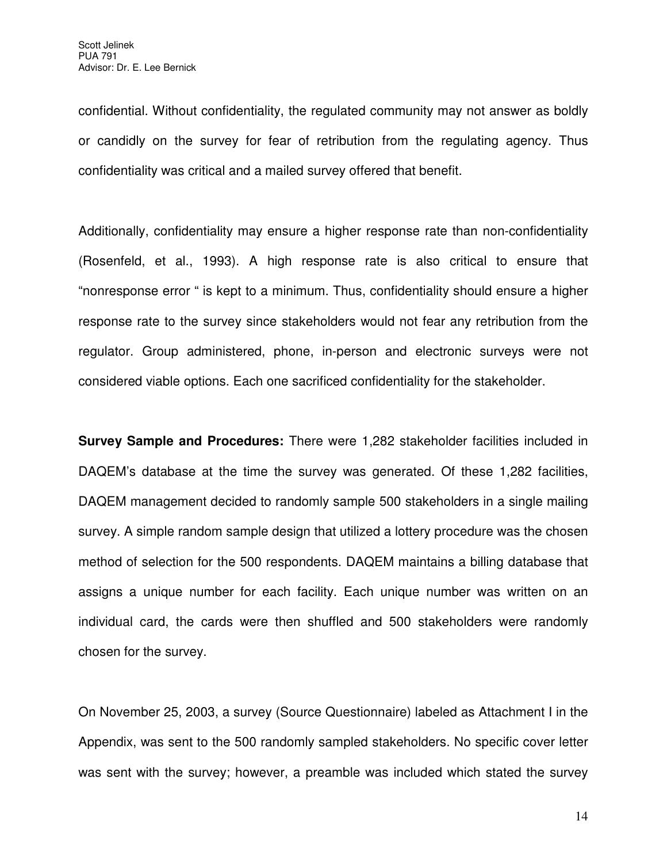confidential. Without confidentiality, the regulated community may not answer as boldly or candidly on the survey for fear of retribution from the regulating agency. Thus confidentiality was critical and a mailed survey offered that benefit.

Additionally, confidentiality may ensure a higher response rate than non-confidentiality (Rosenfeld, et al., 1993). A high response rate is also critical to ensure that "nonresponse error " is kept to a minimum. Thus, confidentiality should ensure a higher response rate to the survey since stakeholders would not fear any retribution from the regulator. Group administered, phone, in-person and electronic surveys were not considered viable options. Each one sacrificed confidentiality for the stakeholder.

**Survey Sample and Procedures:** There were 1,282 stakeholder facilities included in DAQEM's database at the time the survey was generated. Of these 1,282 facilities, DAQEM management decided to randomly sample 500 stakeholders in a single mailing survey. A simple random sample design that utilized a lottery procedure was the chosen method of selection for the 500 respondents. DAQEM maintains a billing database that assigns a unique number for each facility. Each unique number was written on an individual card, the cards were then shuffled and 500 stakeholders were randomly chosen for the survey.

On November 25, 2003, a survey (Source Questionnaire) labeled as Attachment I in the Appendix, was sent to the 500 randomly sampled stakeholders. No specific cover letter was sent with the survey; however, a preamble was included which stated the survey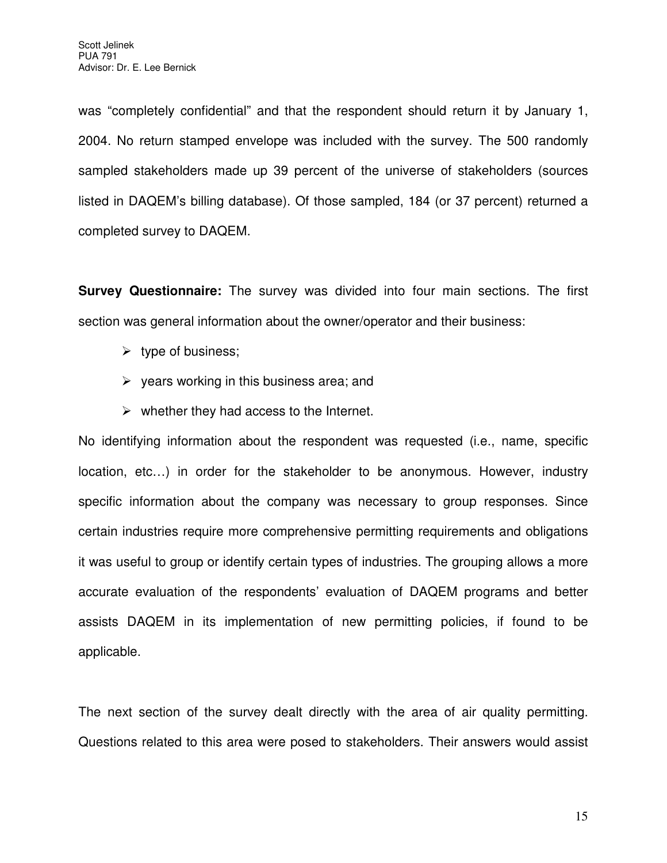was "completely confidential" and that the respondent should return it by January 1, 2004. No return stamped envelope was included with the survey. The 500 randomly sampled stakeholders made up 39 percent of the universe of stakeholders (sources listed in DAQEM's billing database). Of those sampled, 184 (or 37 percent) returned a completed survey to DAQEM.

**Survey Questionnaire:** The survey was divided into four main sections. The first section was general information about the owner/operator and their business:

- $\triangleright$  type of business;
- $\triangleright$  years working in this business area; and
- $\triangleright$  whether they had access to the Internet.

No identifying information about the respondent was requested (i.e., name, specific location, etc…) in order for the stakeholder to be anonymous. However, industry specific information about the company was necessary to group responses. Since certain industries require more comprehensive permitting requirements and obligations it was useful to group or identify certain types of industries. The grouping allows a more accurate evaluation of the respondents' evaluation of DAQEM programs and better assists DAQEM in its implementation of new permitting policies, if found to be applicable.

The next section of the survey dealt directly with the area of air quality permitting. Questions related to this area were posed to stakeholders. Their answers would assist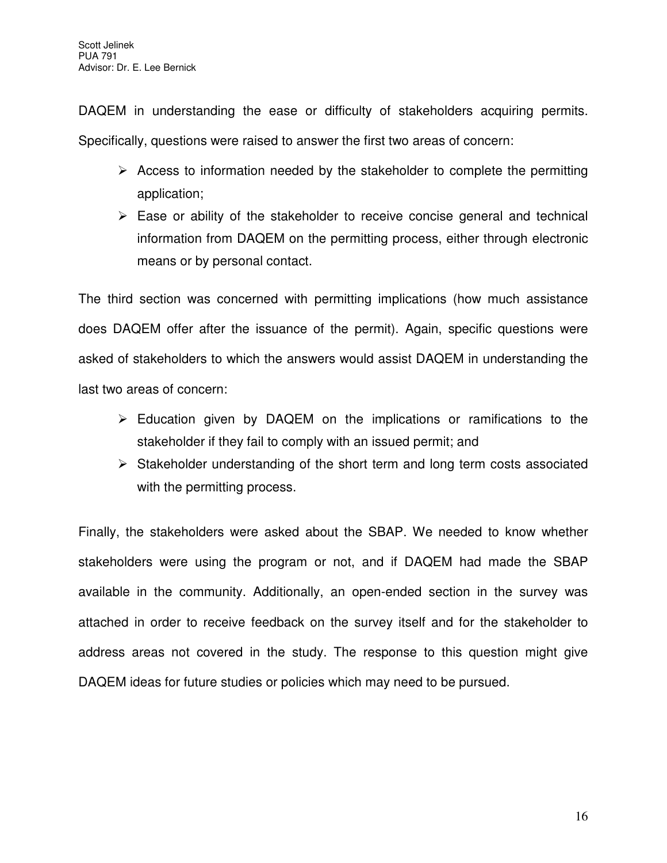DAQEM in understanding the ease or difficulty of stakeholders acquiring permits. Specifically, questions were raised to answer the first two areas of concern:

- $\triangleright$  Access to information needed by the stakeholder to complete the permitting application;
- $\triangleright$  Ease or ability of the stakeholder to receive concise general and technical information from DAQEM on the permitting process, either through electronic means or by personal contact.

The third section was concerned with permitting implications (how much assistance does DAQEM offer after the issuance of the permit). Again, specific questions were asked of stakeholders to which the answers would assist DAQEM in understanding the last two areas of concern:

- $\triangleright$  Education given by DAQEM on the implications or ramifications to the stakeholder if they fail to comply with an issued permit; and
- $\triangleright$  Stakeholder understanding of the short term and long term costs associated with the permitting process.

Finally, the stakeholders were asked about the SBAP. We needed to know whether stakeholders were using the program or not, and if DAQEM had made the SBAP available in the community. Additionally, an open-ended section in the survey was attached in order to receive feedback on the survey itself and for the stakeholder to address areas not covered in the study. The response to this question might give DAQEM ideas for future studies or policies which may need to be pursued.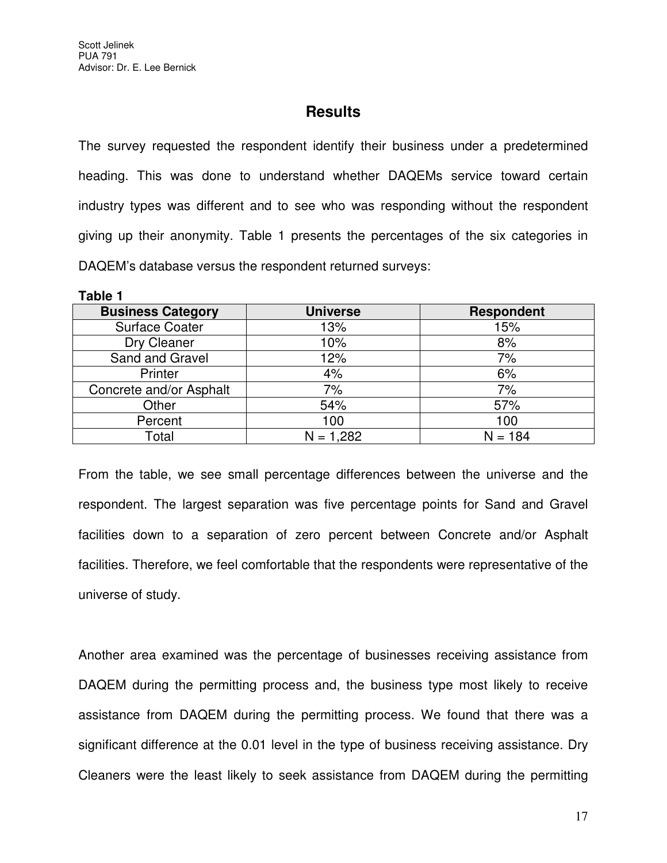## **Results**

The survey requested the respondent identify their business under a predetermined heading. This was done to understand whether DAQEMs service toward certain industry types was different and to see who was responding without the respondent giving up their anonymity. Table 1 presents the percentages of the six categories in DAQEM's database versus the respondent returned surveys:

| Table 1                  |                 |                   |
|--------------------------|-----------------|-------------------|
| <b>Business Category</b> | <b>Universe</b> | <b>Respondent</b> |
| <b>Surface Coater</b>    | 13%             | 15%               |
| Dry Cleaner              | 10%             | 8%                |
| Sand and Gravel          | 12%             | 7%                |
| Printer                  | 4%              | 6%                |
| Concrete and/or Asphalt  | 7%              | 7%                |
| Other                    | 54%             | 57%               |
| Percent                  | 100             | 100               |
| Total                    | $N = 1,282$     | $N = 184$         |

From the table, we see small percentage differences between the universe and the respondent. The largest separation was five percentage points for Sand and Gravel facilities down to a separation of zero percent between Concrete and/or Asphalt facilities. Therefore, we feel comfortable that the respondents were representative of the universe of study.

Another area examined was the percentage of businesses receiving assistance from DAQEM during the permitting process and, the business type most likely to receive assistance from DAQEM during the permitting process. We found that there was a significant difference at the 0.01 level in the type of business receiving assistance. Dry Cleaners were the least likely to seek assistance from DAQEM during the permitting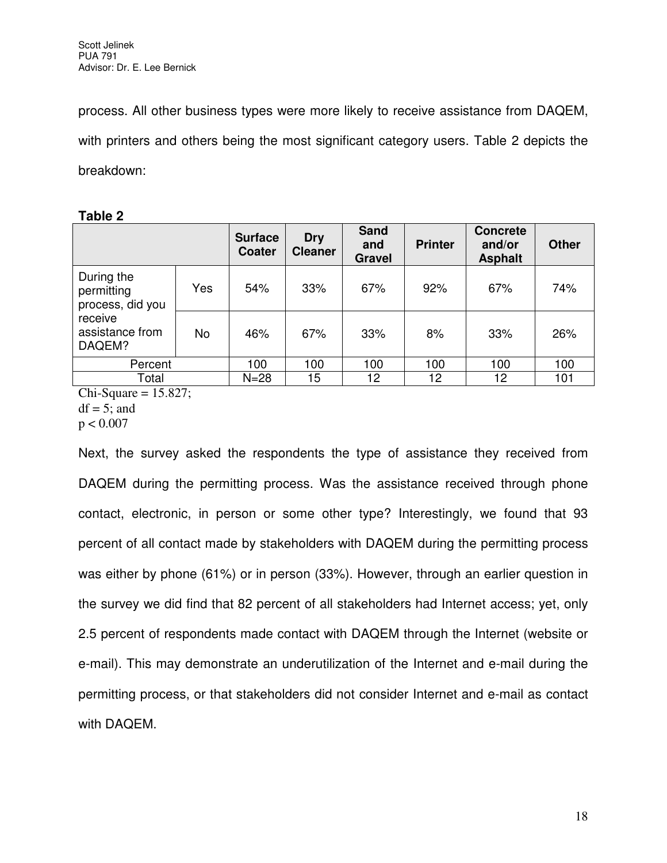process. All other business types were more likely to receive assistance from DAQEM, with printers and others being the most significant category users. Table 2 depicts the breakdown:

| abl |
|-----|
|-----|

|                                                                                                                                                                                                                                                                                                                                                                                            |           | <b>Surface</b><br><b>Coater</b> | Dry<br><b>Cleaner</b> | <b>Sand</b><br>and<br><b>Gravel</b> | <b>Printer</b> | <b>Concrete</b><br>and/or<br><b>Asphalt</b> | <b>Other</b> |
|--------------------------------------------------------------------------------------------------------------------------------------------------------------------------------------------------------------------------------------------------------------------------------------------------------------------------------------------------------------------------------------------|-----------|---------------------------------|-----------------------|-------------------------------------|----------------|---------------------------------------------|--------------|
| During the<br>permitting<br>process, did you<br>receive<br>assistance from<br>DAQEM?                                                                                                                                                                                                                                                                                                       | Yes       | 54%                             | 33%                   | 67%                                 | 92%            | 67%                                         | 74%          |
|                                                                                                                                                                                                                                                                                                                                                                                            | <b>No</b> | 46%                             | 67%                   | 33%                                 | 8%             | 33%                                         | 26%          |
| Percent                                                                                                                                                                                                                                                                                                                                                                                    |           | 100                             | 100                   | 100                                 | 100            | 100                                         | 100          |
| Total                                                                                                                                                                                                                                                                                                                                                                                      |           | $N = 28$                        | 15                    | 12                                  | 12             | 12                                          | 101          |
| $\bigcap$ : $\bigcap$ $\bigcap$ $\bigcap$ $\bigcap$ $\bigcap$ $\bigcap$ $\bigcap$ $\bigcap$ $\bigcap$ $\bigcap$ $\bigcap$ $\bigcap$ $\bigcap$ $\bigcap$ $\bigcap$ $\bigcap$ $\bigcap$ $\bigcap$ $\bigcap$ $\bigcap$ $\bigcap$ $\bigcap$ $\bigcap$ $\bigcap$ $\bigcap$ $\bigcap$ $\bigcap$ $\bigcap$ $\bigcap$ $\bigcap$ $\bigcap$ $\bigcap$ $\bigcap$ $\bigcap$ $\bigcap$ $\big$<br>15.027 |           |                                 |                       |                                     |                |                                             |              |

 $Chi-Square = 15.827;$  $df = 5$ ; and  $p < 0.007$ 

Next, the survey asked the respondents the type of assistance they received from DAQEM during the permitting process. Was the assistance received through phone contact, electronic, in person or some other type? Interestingly, we found that 93 percent of all contact made by stakeholders with DAQEM during the permitting process was either by phone (61%) or in person (33%). However, through an earlier question in the survey we did find that 82 percent of all stakeholders had Internet access; yet, only 2.5 percent of respondents made contact with DAQEM through the Internet (website or e-mail). This may demonstrate an underutilization of the Internet and e-mail during the permitting process, or that stakeholders did not consider Internet and e-mail as contact with DAQEM.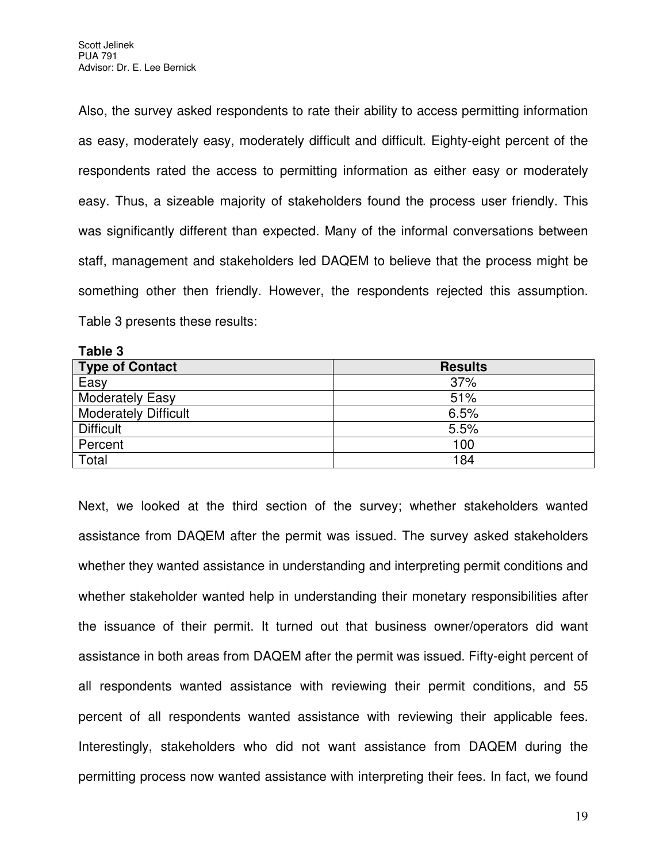Also, the survey asked respondents to rate their ability to access permitting information as easy, moderately easy, moderately difficult and difficult. Eighty-eight percent of the respondents rated the access to permitting information as either easy or moderately easy. Thus, a sizeable majority of stakeholders found the process user friendly. This was significantly different than expected. Many of the informal conversations between staff, management and stakeholders led DAQEM to believe that the process might be something other then friendly. However, the respondents rejected this assumption. Table 3 presents these results:

| Table 3                     |                |
|-----------------------------|----------------|
| <b>Type of Contact</b>      | <b>Results</b> |
| Easy                        | 37%            |
| <b>Moderately Easy</b>      | 51%            |
| <b>Moderately Difficult</b> | 6.5%           |
| <b>Difficult</b>            | 5.5%           |
| Percent                     | 100            |
| Total                       | 184            |
|                             |                |

Next, we looked at the third section of the survey; whether stakeholders wanted assistance from DAQEM after the permit was issued. The survey asked stakeholders whether they wanted assistance in understanding and interpreting permit conditions and whether stakeholder wanted help in understanding their monetary responsibilities after the issuance of their permit. It turned out that business owner/operators did want assistance in both areas from DAQEM after the permit was issued. Fifty-eight percent of all respondents wanted assistance with reviewing their permit conditions, and 55 percent of all respondents wanted assistance with reviewing their applicable fees. Interestingly, stakeholders who did not want assistance from DAQEM during the permitting process now wanted assistance with interpreting their fees. In fact, we found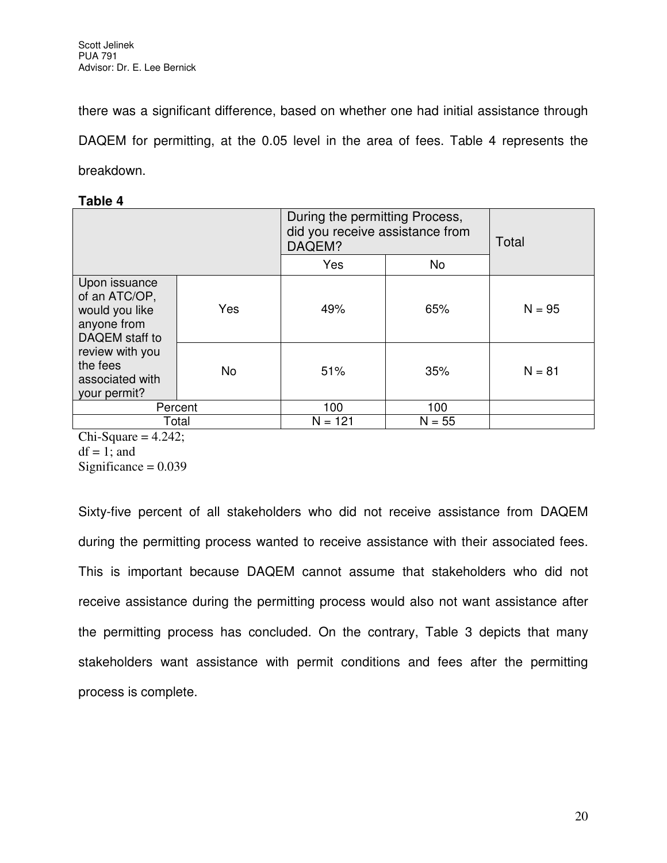there was a significant difference, based on whether one had initial assistance through

DAQEM for permitting, at the 0.05 level in the area of fees. Table 4 represents the breakdown.

| able |  |
|------|--|
|------|--|

|                                                                                                                                                     |         | During the permitting Process,<br>did you receive assistance from<br>DAQEM? |           | Total    |
|-----------------------------------------------------------------------------------------------------------------------------------------------------|---------|-----------------------------------------------------------------------------|-----------|----------|
|                                                                                                                                                     |         | Yes                                                                         | <b>No</b> |          |
| Upon issuance<br>of an ATC/OP,<br>would you like<br>anyone from<br>DAQEM staff to<br>review with you<br>the fees<br>associated with<br>your permit? | Yes     | 49%                                                                         | 65%       | $N = 95$ |
|                                                                                                                                                     | No      | 51%                                                                         | 35%       | $N = 81$ |
|                                                                                                                                                     | Percent | 100                                                                         | 100       |          |
|                                                                                                                                                     | Total   | $N = 121$                                                                   | $N = 55$  |          |

 $Chi-Square = 4.242;$  $df = 1$ ; and Significance  $= 0.039$ 

Sixty-five percent of all stakeholders who did not receive assistance from DAQEM during the permitting process wanted to receive assistance with their associated fees. This is important because DAQEM cannot assume that stakeholders who did not receive assistance during the permitting process would also not want assistance after the permitting process has concluded. On the contrary, Table 3 depicts that many stakeholders want assistance with permit conditions and fees after the permitting process is complete.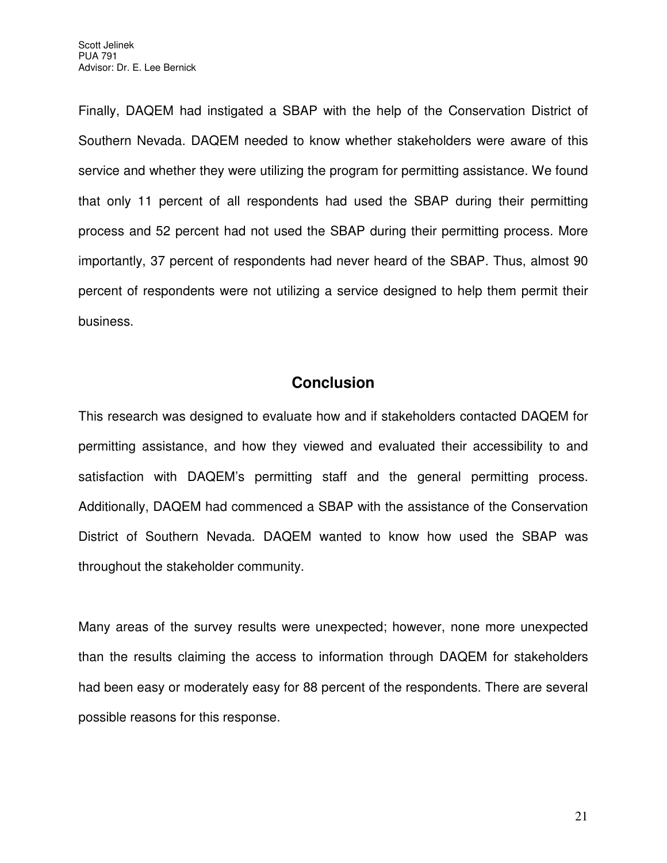Finally, DAQEM had instigated a SBAP with the help of the Conservation District of Southern Nevada. DAQEM needed to know whether stakeholders were aware of this service and whether they were utilizing the program for permitting assistance. We found that only 11 percent of all respondents had used the SBAP during their permitting process and 52 percent had not used the SBAP during their permitting process. More importantly, 37 percent of respondents had never heard of the SBAP. Thus, almost 90 percent of respondents were not utilizing a service designed to help them permit their business.

#### **Conclusion**

This research was designed to evaluate how and if stakeholders contacted DAQEM for permitting assistance, and how they viewed and evaluated their accessibility to and satisfaction with DAQEM's permitting staff and the general permitting process. Additionally, DAQEM had commenced a SBAP with the assistance of the Conservation District of Southern Nevada. DAQEM wanted to know how used the SBAP was throughout the stakeholder community.

Many areas of the survey results were unexpected; however, none more unexpected than the results claiming the access to information through DAQEM for stakeholders had been easy or moderately easy for 88 percent of the respondents. There are several possible reasons for this response.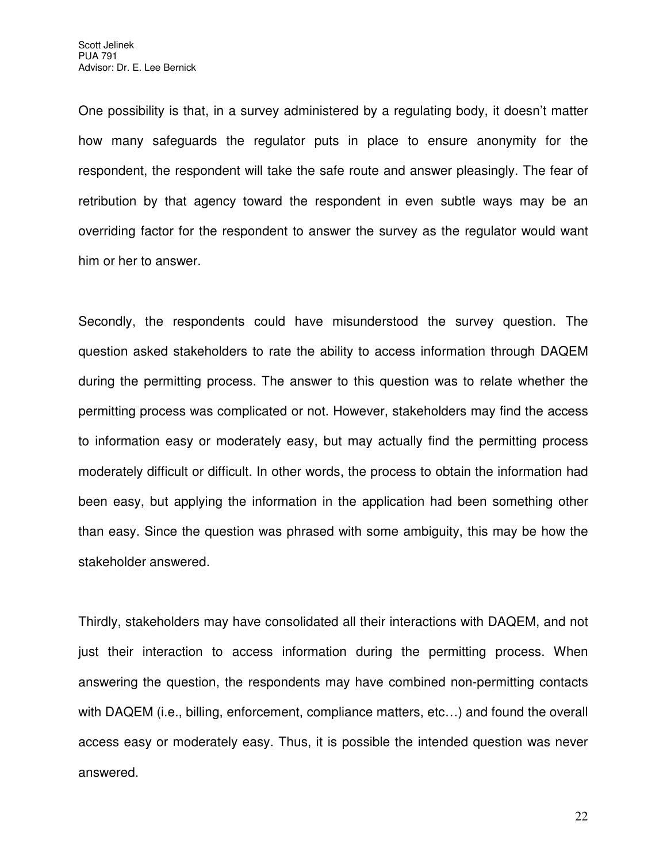One possibility is that, in a survey administered by a regulating body, it doesn't matter how many safeguards the regulator puts in place to ensure anonymity for the respondent, the respondent will take the safe route and answer pleasingly. The fear of retribution by that agency toward the respondent in even subtle ways may be an overriding factor for the respondent to answer the survey as the regulator would want him or her to answer.

Secondly, the respondents could have misunderstood the survey question. The question asked stakeholders to rate the ability to access information through DAQEM during the permitting process. The answer to this question was to relate whether the permitting process was complicated or not. However, stakeholders may find the access to information easy or moderately easy, but may actually find the permitting process moderately difficult or difficult. In other words, the process to obtain the information had been easy, but applying the information in the application had been something other than easy. Since the question was phrased with some ambiguity, this may be how the stakeholder answered.

Thirdly, stakeholders may have consolidated all their interactions with DAQEM, and not just their interaction to access information during the permitting process. When answering the question, the respondents may have combined non-permitting contacts with DAQEM (i.e., billing, enforcement, compliance matters, etc…) and found the overall access easy or moderately easy. Thus, it is possible the intended question was never answered.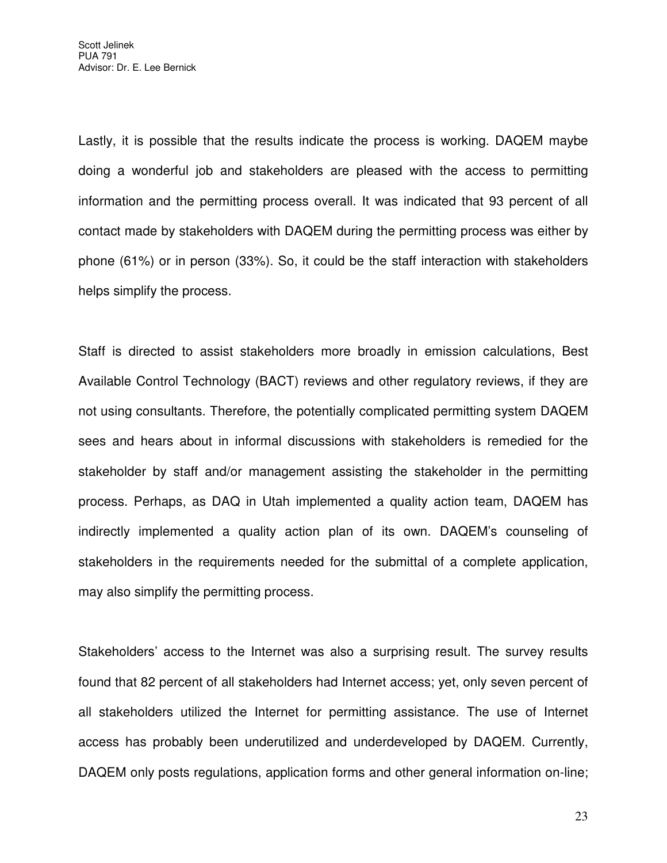Lastly, it is possible that the results indicate the process is working. DAQEM maybe doing a wonderful job and stakeholders are pleased with the access to permitting information and the permitting process overall. It was indicated that 93 percent of all contact made by stakeholders with DAQEM during the permitting process was either by phone (61%) or in person (33%). So, it could be the staff interaction with stakeholders helps simplify the process.

Staff is directed to assist stakeholders more broadly in emission calculations, Best Available Control Technology (BACT) reviews and other regulatory reviews, if they are not using consultants. Therefore, the potentially complicated permitting system DAQEM sees and hears about in informal discussions with stakeholders is remedied for the stakeholder by staff and/or management assisting the stakeholder in the permitting process. Perhaps, as DAQ in Utah implemented a quality action team, DAQEM has indirectly implemented a quality action plan of its own. DAQEM's counseling of stakeholders in the requirements needed for the submittal of a complete application, may also simplify the permitting process.

Stakeholders' access to the Internet was also a surprising result. The survey results found that 82 percent of all stakeholders had Internet access; yet, only seven percent of all stakeholders utilized the Internet for permitting assistance. The use of Internet access has probably been underutilized and underdeveloped by DAQEM. Currently, DAQEM only posts regulations, application forms and other general information on-line;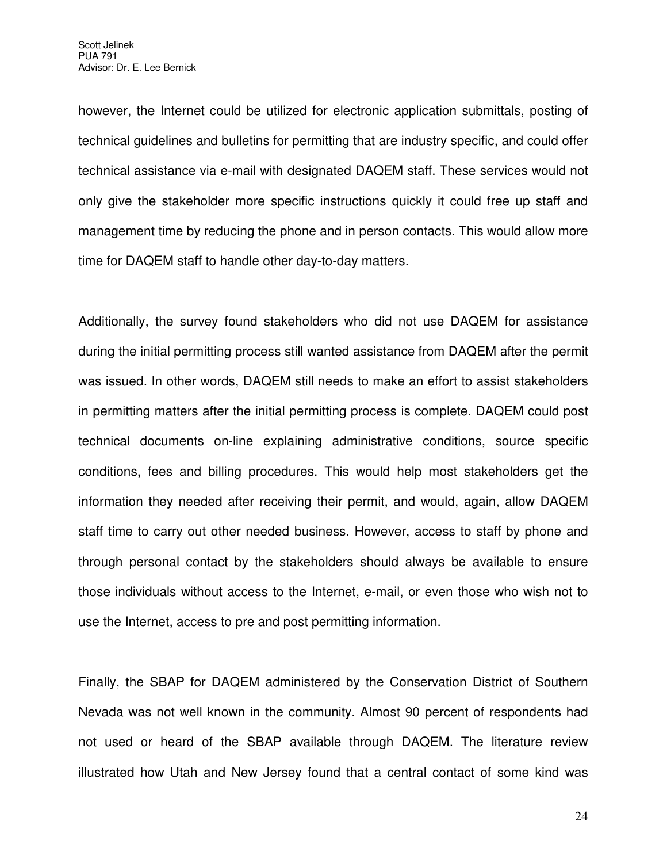however, the Internet could be utilized for electronic application submittals, posting of technical guidelines and bulletins for permitting that are industry specific, and could offer technical assistance via e-mail with designated DAQEM staff. These services would not only give the stakeholder more specific instructions quickly it could free up staff and management time by reducing the phone and in person contacts. This would allow more time for DAQEM staff to handle other day-to-day matters.

Additionally, the survey found stakeholders who did not use DAQEM for assistance during the initial permitting process still wanted assistance from DAQEM after the permit was issued. In other words, DAQEM still needs to make an effort to assist stakeholders in permitting matters after the initial permitting process is complete. DAQEM could post technical documents on-line explaining administrative conditions, source specific conditions, fees and billing procedures. This would help most stakeholders get the information they needed after receiving their permit, and would, again, allow DAQEM staff time to carry out other needed business. However, access to staff by phone and through personal contact by the stakeholders should always be available to ensure those individuals without access to the Internet, e-mail, or even those who wish not to use the Internet, access to pre and post permitting information.

Finally, the SBAP for DAQEM administered by the Conservation District of Southern Nevada was not well known in the community. Almost 90 percent of respondents had not used or heard of the SBAP available through DAQEM. The literature review illustrated how Utah and New Jersey found that a central contact of some kind was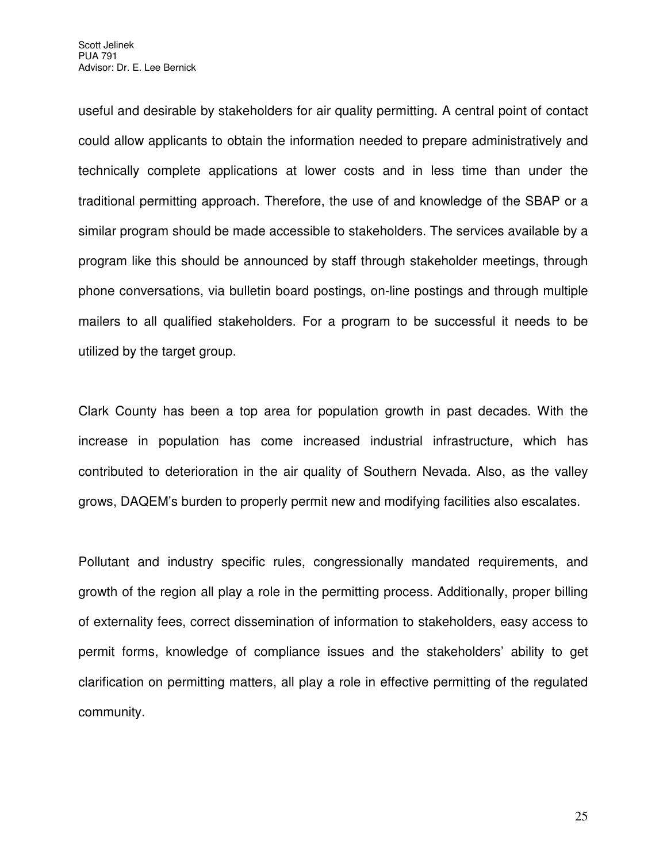useful and desirable by stakeholders for air quality permitting. A central point of contact could allow applicants to obtain the information needed to prepare administratively and technically complete applications at lower costs and in less time than under the traditional permitting approach. Therefore, the use of and knowledge of the SBAP or a similar program should be made accessible to stakeholders. The services available by a program like this should be announced by staff through stakeholder meetings, through phone conversations, via bulletin board postings, on-line postings and through multiple mailers to all qualified stakeholders. For a program to be successful it needs to be utilized by the target group.

Clark County has been a top area for population growth in past decades. With the increase in population has come increased industrial infrastructure, which has contributed to deterioration in the air quality of Southern Nevada. Also, as the valley grows, DAQEM's burden to properly permit new and modifying facilities also escalates.

Pollutant and industry specific rules, congressionally mandated requirements, and growth of the region all play a role in the permitting process. Additionally, proper billing of externality fees, correct dissemination of information to stakeholders, easy access to permit forms, knowledge of compliance issues and the stakeholders' ability to get clarification on permitting matters, all play a role in effective permitting of the regulated community.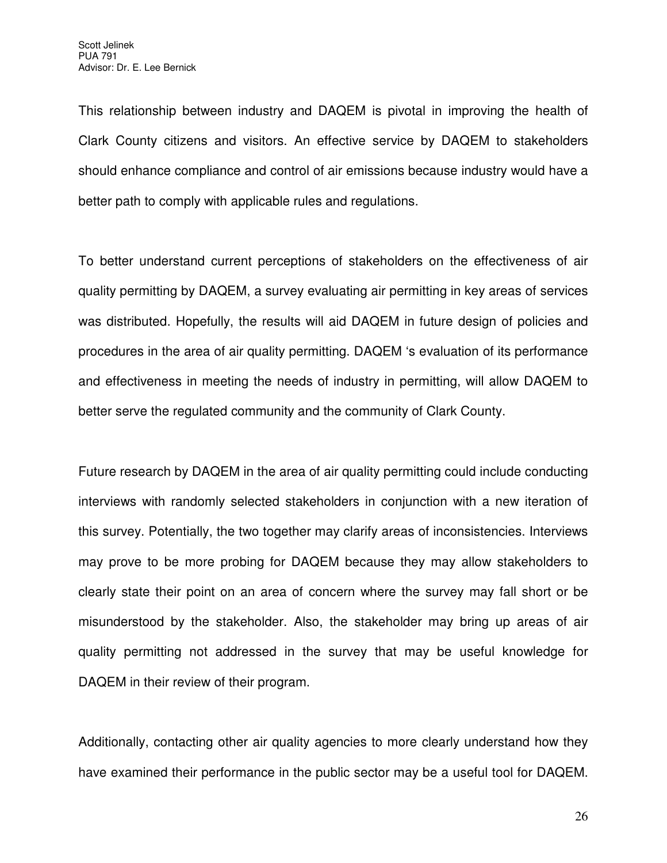This relationship between industry and DAQEM is pivotal in improving the health of Clark County citizens and visitors. An effective service by DAQEM to stakeholders should enhance compliance and control of air emissions because industry would have a better path to comply with applicable rules and regulations.

To better understand current perceptions of stakeholders on the effectiveness of air quality permitting by DAQEM, a survey evaluating air permitting in key areas of services was distributed. Hopefully, the results will aid DAQEM in future design of policies and procedures in the area of air quality permitting. DAQEM 's evaluation of its performance and effectiveness in meeting the needs of industry in permitting, will allow DAQEM to better serve the regulated community and the community of Clark County.

Future research by DAQEM in the area of air quality permitting could include conducting interviews with randomly selected stakeholders in conjunction with a new iteration of this survey. Potentially, the two together may clarify areas of inconsistencies. Interviews may prove to be more probing for DAQEM because they may allow stakeholders to clearly state their point on an area of concern where the survey may fall short or be misunderstood by the stakeholder. Also, the stakeholder may bring up areas of air quality permitting not addressed in the survey that may be useful knowledge for DAQEM in their review of their program.

Additionally, contacting other air quality agencies to more clearly understand how they have examined their performance in the public sector may be a useful tool for DAQEM.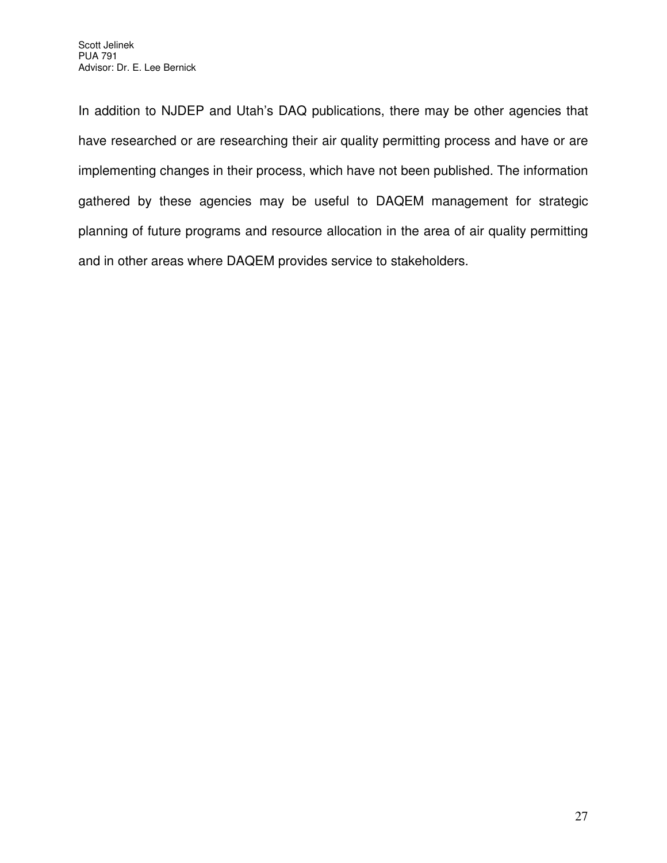In addition to NJDEP and Utah's DAQ publications, there may be other agencies that have researched or are researching their air quality permitting process and have or are implementing changes in their process, which have not been published. The information gathered by these agencies may be useful to DAQEM management for strategic planning of future programs and resource allocation in the area of air quality permitting and in other areas where DAQEM provides service to stakeholders.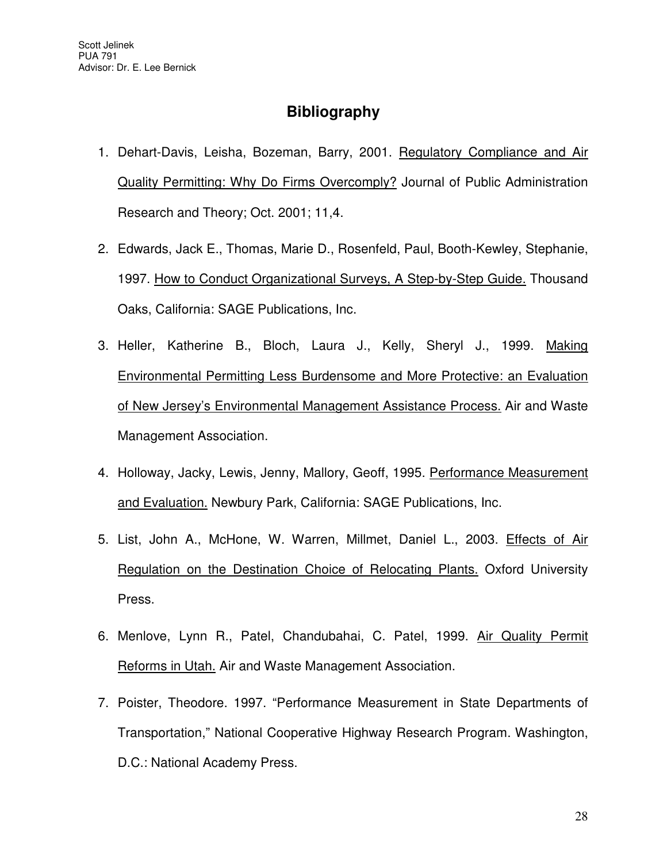# **Bibliography**

- 1. Dehart-Davis, Leisha, Bozeman, Barry, 2001. Regulatory Compliance and Air Quality Permitting: Why Do Firms Overcomply? Journal of Public Administration Research and Theory; Oct. 2001; 11,4.
- 2. Edwards, Jack E., Thomas, Marie D., Rosenfeld, Paul, Booth-Kewley, Stephanie, 1997. How to Conduct Organizational Surveys, A Step-by-Step Guide. Thousand Oaks, California: SAGE Publications, Inc.
- 3. Heller, Katherine B., Bloch, Laura J., Kelly, Sheryl J., 1999. Making Environmental Permitting Less Burdensome and More Protective: an Evaluation of New Jersey's Environmental Management Assistance Process. Air and Waste Management Association.
- 4. Holloway, Jacky, Lewis, Jenny, Mallory, Geoff, 1995. Performance Measurement and Evaluation. Newbury Park, California: SAGE Publications, Inc.
- 5. List, John A., McHone, W. Warren, Millmet, Daniel L., 2003. Effects of Air Regulation on the Destination Choice of Relocating Plants. Oxford University Press.
- 6. Menlove, Lynn R., Patel, Chandubahai, C. Patel, 1999. Air Quality Permit Reforms in Utah. Air and Waste Management Association.
- 7. Poister, Theodore. 1997. "Performance Measurement in State Departments of Transportation," National Cooperative Highway Research Program. Washington, D.C.: National Academy Press.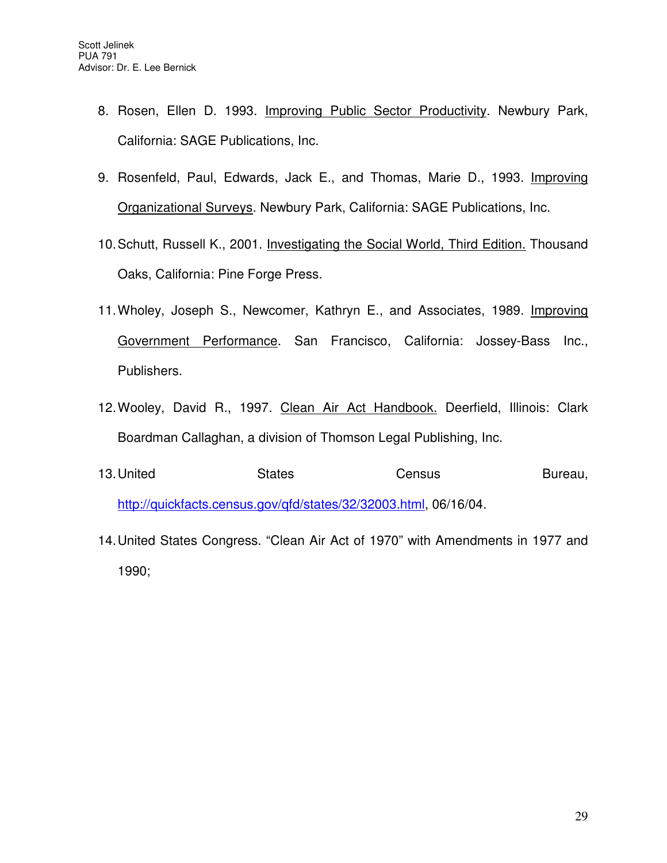- 8. Rosen, Ellen D. 1993. Improving Public Sector Productivity. Newbury Park, California: SAGE Publications, Inc.
- 9. Rosenfeld, Paul, Edwards, Jack E., and Thomas, Marie D., 1993. Improving Organizational Surveys. Newbury Park, California: SAGE Publications, Inc.
- 10. Schutt, Russell K., 2001. Investigating the Social World, Third Edition. Thousand Oaks, California: Pine Forge Press.
- 11. Wholey, Joseph S., Newcomer, Kathryn E., and Associates, 1989. Improving Government Performance. San Francisco, California: Jossey-Bass Inc., Publishers.
- 12. Wooley, David R., 1997. Clean Air Act Handbook. Deerfield, Illinois: Clark Boardman Callaghan, a division of Thomson Legal Publishing, Inc.
- 13. United States States Census Bureau, http://quickfacts.census.gov/qfd/states/32/32003.html, 06/16/04.
- 14. United States Congress. "Clean Air Act of 1970" with Amendments in 1977 and 1990;